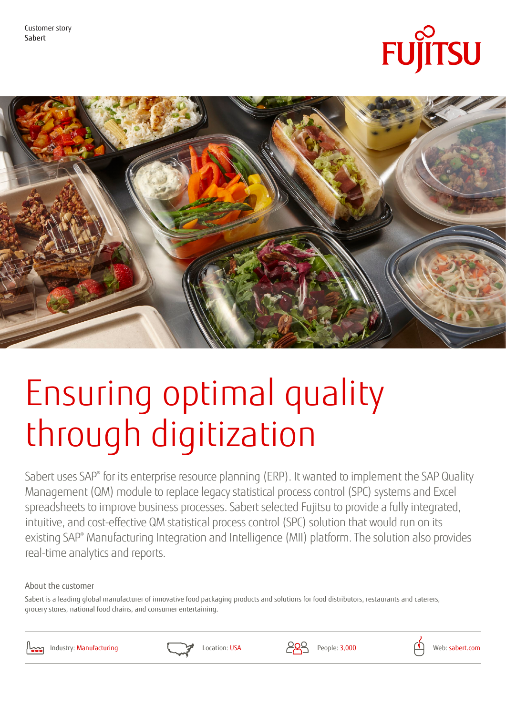Customer story Sabert





# Ensuring optimal quality through digitization

Sabert uses SAP® for its enterprise resource planning (ERP). It wanted to implement the SAP Quality Management (QM) module to replace legacy statistical process control (SPC) systems and Excel spreadsheets to improve business processes. Sabert selected Fujitsu to provide a fully integrated, intuitive, and cost-effective QM statistical process control (SPC) solution that would run on its existing SAP® Manufacturing Integration and Intelligence (MII) platform. The solution also provides real-time analytics and reports.

About the customer

Sabert is a leading global manufacturer of innovative food packaging products and solutions for food distributors, restaurants and caterers, grocery stores, national food chains, and consumer entertaining.